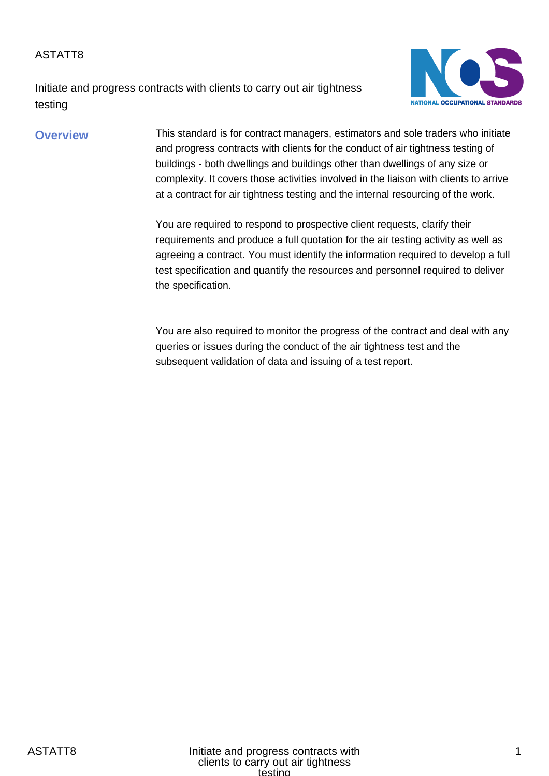Initiate and progress contracts with clients to carry out air tightness testing



## **Overview** This standard is for contract managers, estimators and sole traders who initiate and progress contracts with clients for the conduct of air tightness testing of buildings - both dwellings and buildings other than dwellings of any size or complexity. It covers those activities involved in the liaison with clients to arrive at a contract for air tightness testing and the internal resourcing of the work.

You are required to respond to prospective client requests, clarify their requirements and produce a full quotation for the air testing activity as well as agreeing a contract. You must identify the information required to develop a full test specification and quantify the resources and personnel required to deliver the specification.

You are also required to monitor the progress of the contract and deal with any queries or issues during the conduct of the air tightness test and the subsequent validation of data and issuing of a test report.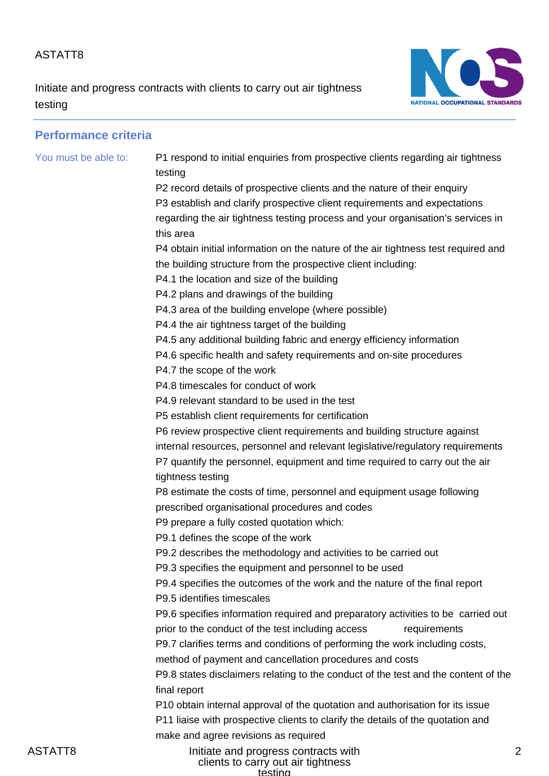Initiate and progress contracts with clients to carry out air tightness testing



 $\mathfrak{p}$ 

# **Performance criteria** You must be able to: P1 respond to initial enquiries from prospective clients regarding air tightness testing P2 record details of prospective clients and the nature of their enquiry P3 establish and clarify prospective client requirements and expectations regarding the air tightness testing process and your organisation's services in this area P4 obtain initial information on the nature of the air tightness test required and the building structure from the prospective client including: P4.1 the location and size of the building P4.2 plans and drawings of the building P4.3 area of the building envelope (where possible) P4.4 the air tightness target of the building P4.5 any additional building fabric and energy efficiency information P4.6 specific health and safety requirements and on-site procedures P4.7 the scope of the work P4.8 timescales for conduct of work P4.9 relevant standard to be used in the test P5 establish client requirements for certification P6 review prospective client requirements and building structure against internal resources, personnel and relevant legislative/regulatory requirements P7 quantify the personnel, equipment and time required to carry out the air tightness testing P8 estimate the costs of time, personnel and equipment usage following prescribed organisational procedures and codes P9 prepare a fully costed quotation which: P9.1 defines the scope of the work P9.2 describes the methodology and activities to be carried out P9.3 specifies the equipment and personnel to be used P9.4 specifies the outcomes of the work and the nature of the final report P9.5 identifies timescales P9.6 specifies information required and preparatory activities to be carried out prior to the conduct of the test including access requirements P9.7 clarifies terms and conditions of performing the work including costs, method of payment and cancellation procedures and costs P9.8 states disclaimers relating to the conduct of the test and the content of the final report P10 obtain internal approval of the quotation and authorisation for its issue P11 liaise with prospective clients to clarify the details of the quotation and make and agree revisions as required

ASTATT8 **Initiate and progress contracts with** clients to carry out air tightness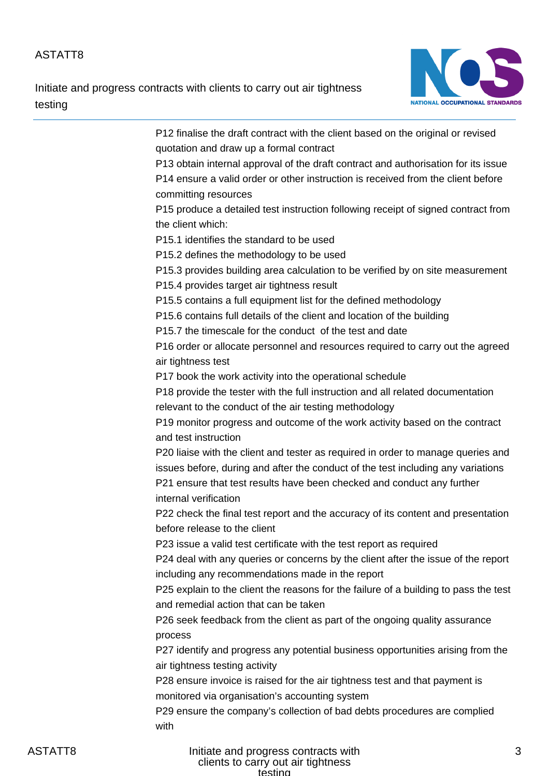Initiate and progress contracts with clients to carry out air tightness testing



| P12 finalise the draft contract with the client based on the original or revised     |
|--------------------------------------------------------------------------------------|
| quotation and draw up a formal contract                                              |
| P13 obtain internal approval of the draft contract and authorisation for its issue   |
| P14 ensure a valid order or other instruction is received from the client before     |
| committing resources                                                                 |
| P15 produce a detailed test instruction following receipt of signed contract from    |
| the client which:                                                                    |
| P15.1 identifies the standard to be used                                             |
| P15.2 defines the methodology to be used                                             |
| P15.3 provides building area calculation to be verified by on site measurement       |
| P15.4 provides target air tightness result                                           |
| P15.5 contains a full equipment list for the defined methodology                     |
| P15.6 contains full details of the client and location of the building               |
| P15.7 the timescale for the conduct of the test and date                             |
| P16 order or allocate personnel and resources required to carry out the agreed       |
| air tightness test                                                                   |
| P17 book the work activity into the operational schedule                             |
| P18 provide the tester with the full instruction and all related documentation       |
| relevant to the conduct of the air testing methodology                               |
| P19 monitor progress and outcome of the work activity based on the contract          |
| and test instruction                                                                 |
| P20 liaise with the client and tester as required in order to manage queries and     |
| issues before, during and after the conduct of the test including any variations     |
| P21 ensure that test results have been checked and conduct any further               |
| internal verification                                                                |
| P22 check the final test report and the accuracy of its content and presentation     |
| before release to the client                                                         |
| P23 issue a valid test certificate with the test report as required                  |
| P24 deal with any queries or concerns by the client after the issue of the report    |
| including any recommendations made in the report                                     |
| P25 explain to the client the reasons for the failure of a building to pass the test |
| and remedial action that can be taken                                                |
| P26 seek feedback from the client as part of the ongoing quality assurance           |
| process                                                                              |
| P27 identify and progress any potential business opportunities arising from the      |
| air tightness testing activity                                                       |
| P28 ensure invoice is raised for the air tightness test and that payment is          |
| monitored via organisation's accounting system                                       |
| P29 ensure the company's collection of bad debts procedures are complied             |
| with                                                                                 |
|                                                                                      |

ASTATT8 **Initiate and progress contracts with** clients to carry out air tightness testing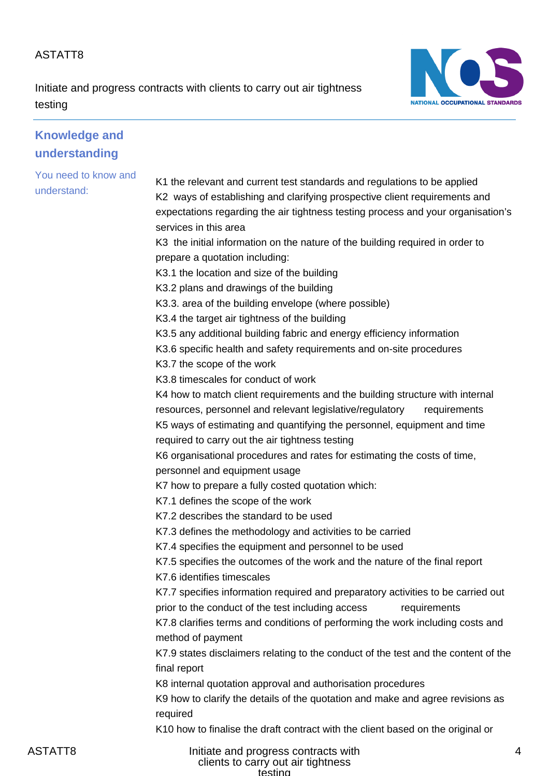Initiate and progress contracts with clients to carry out air tightness testing



| <b>Knowledge and</b>                |                                                                                                                                                                                                                                                                                                                                                                                                                                                                                                                                                                                                                                                                                                                                                                                                                                                                                                                                                                                                                                                                                                                                                                                                                                                                                                                                                                                                                                                                                                                                                                                                                                                                                                                                                                                                                                                                                                                                                                                                                                  |
|-------------------------------------|----------------------------------------------------------------------------------------------------------------------------------------------------------------------------------------------------------------------------------------------------------------------------------------------------------------------------------------------------------------------------------------------------------------------------------------------------------------------------------------------------------------------------------------------------------------------------------------------------------------------------------------------------------------------------------------------------------------------------------------------------------------------------------------------------------------------------------------------------------------------------------------------------------------------------------------------------------------------------------------------------------------------------------------------------------------------------------------------------------------------------------------------------------------------------------------------------------------------------------------------------------------------------------------------------------------------------------------------------------------------------------------------------------------------------------------------------------------------------------------------------------------------------------------------------------------------------------------------------------------------------------------------------------------------------------------------------------------------------------------------------------------------------------------------------------------------------------------------------------------------------------------------------------------------------------------------------------------------------------------------------------------------------------|
| understanding                       |                                                                                                                                                                                                                                                                                                                                                                                                                                                                                                                                                                                                                                                                                                                                                                                                                                                                                                                                                                                                                                                                                                                                                                                                                                                                                                                                                                                                                                                                                                                                                                                                                                                                                                                                                                                                                                                                                                                                                                                                                                  |
| You need to know and<br>understand: | K1 the relevant and current test standards and regulations to be applied<br>K2 ways of establishing and clarifying prospective client requirements and<br>expectations regarding the air tightness testing process and your organisation's<br>services in this area<br>K3 the initial information on the nature of the building required in order to<br>prepare a quotation including:<br>K3.1 the location and size of the building<br>K3.2 plans and drawings of the building<br>K3.3. area of the building envelope (where possible)<br>K3.4 the target air tightness of the building<br>K3.5 any additional building fabric and energy efficiency information<br>K3.6 specific health and safety requirements and on-site procedures<br>K3.7 the scope of the work<br>K3.8 timescales for conduct of work<br>K4 how to match client requirements and the building structure with internal<br>resources, personnel and relevant legislative/regulatory<br>requirements<br>K5 ways of estimating and quantifying the personnel, equipment and time<br>required to carry out the air tightness testing<br>K6 organisational procedures and rates for estimating the costs of time,<br>personnel and equipment usage<br>K7 how to prepare a fully costed quotation which:<br>K7.1 defines the scope of the work<br>K7.2 describes the standard to be used<br>K7.3 defines the methodology and activities to be carried<br>K7.4 specifies the equipment and personnel to be used<br>K7.5 specifies the outcomes of the work and the nature of the final report<br>K7.6 identifies timescales<br>K7.7 specifies information required and preparatory activities to be carried out<br>prior to the conduct of the test including access<br>requirements<br>K7.8 clarifies terms and conditions of performing the work including costs and<br>method of payment<br>K7.9 states disclaimers relating to the conduct of the test and the content of the<br>final report<br>K8 internal quotation approval and authorisation procedures |
|                                     | K9 how to clarify the details of the quotation and make and agree revisions as<br>required                                                                                                                                                                                                                                                                                                                                                                                                                                                                                                                                                                                                                                                                                                                                                                                                                                                                                                                                                                                                                                                                                                                                                                                                                                                                                                                                                                                                                                                                                                                                                                                                                                                                                                                                                                                                                                                                                                                                       |
|                                     | K10 how to finalise the draft contract with the client based on the original or                                                                                                                                                                                                                                                                                                                                                                                                                                                                                                                                                                                                                                                                                                                                                                                                                                                                                                                                                                                                                                                                                                                                                                                                                                                                                                                                                                                                                                                                                                                                                                                                                                                                                                                                                                                                                                                                                                                                                  |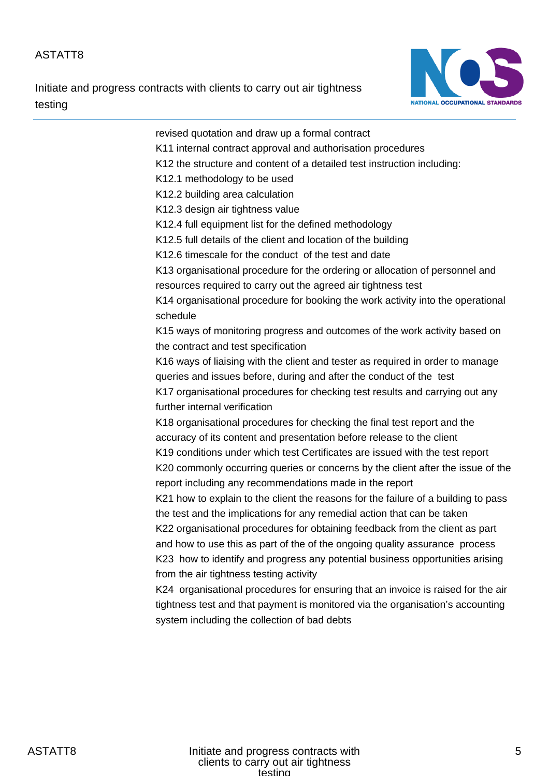Initiate and progress contracts with clients to carry out air tightness testing



revised quotation and draw up a formal contract K11 internal contract approval and authorisation procedures K12 the structure and content of a detailed test instruction including: K12.1 methodology to be used K12.2 building area calculation K12.3 design air tightness value K12.4 full equipment list for the defined methodology K12.5 full details of the client and location of the building K12.6 timescale for the conduct of the test and date K13 organisational procedure for the ordering or allocation of personnel and resources required to carry out the agreed air tightness test K14 organisational procedure for booking the work activity into the operational schedule K15 ways of monitoring progress and outcomes of the work activity based on the contract and test specification K16 ways of liaising with the client and tester as required in order to manage queries and issues before, during and after the conduct of the test K17 organisational procedures for checking test results and carrying out any further internal verification K18 organisational procedures for checking the final test report and the accuracy of its content and presentation before release to the client K19 conditions under which test Certificates are issued with the test report K20 commonly occurring queries or concerns by the client after the issue of the report including any recommendations made in the report K21 how to explain to the client the reasons for the failure of a building to pass the test and the implications for any remedial action that can be taken K22 organisational procedures for obtaining feedback from the client as part and how to use this as part of the of the ongoing quality assurance process K23 how to identify and progress any potential business opportunities arising from the air tightness testing activity K24 organisational procedures for ensuring that an invoice is raised for the air tightness test and that payment is monitored via the organisation's accounting system including the collection of bad debts